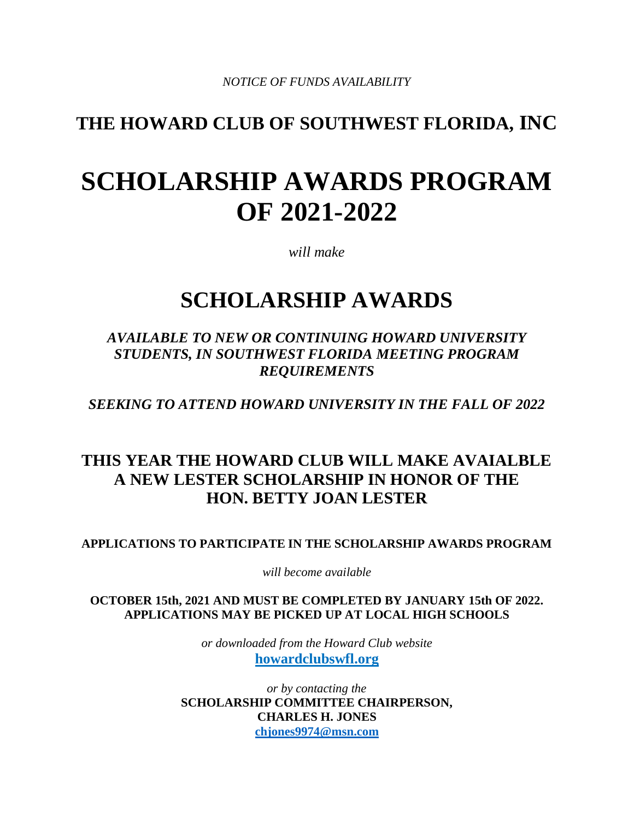## **THE HOWARD CLUB OF SOUTHWEST FLORIDA, INC**

# **SCHOLARSHIP AWARDS PROGRAM OF 2021-2022**

*will make* 

## **SCHOLARSHIP AWARDS**

### *AVAILABLE TO NEW OR CONTINUING HOWARD UNIVERSITY STUDENTS, IN SOUTHWEST FLORIDA MEETING PROGRAM REQUIREMENTS*

*SEEKING TO ATTEND HOWARD UNIVERSITY IN THE FALL OF 2022* 

## **THIS YEAR THE HOWARD CLUB WILL MAKE AVAIALBLE A NEW LESTER SCHOLARSHIP IN HONOR OF THE HON. BETTY JOAN LESTER**

**APPLICATIONS TO PARTICIPATE IN THE SCHOLARSHIP AWARDS PROGRAM** 

*will become available*

**OCTOBER 15th, 2021 AND MUST BE COMPLETED BY JANUARY 15th OF 2022. APPLICATIONS MAY BE PICKED UP AT LOCAL HIGH SCHOOLS**

> *or downloaded from the Howard Club website*  **howardclubswfl.org**

*or by contacting the* **SCHOLARSHIP COMMITTEE CHAIRPERSON, CHARLES H. JONES [chjones9974@msn.com](mailto:chjones9974@msn.com)**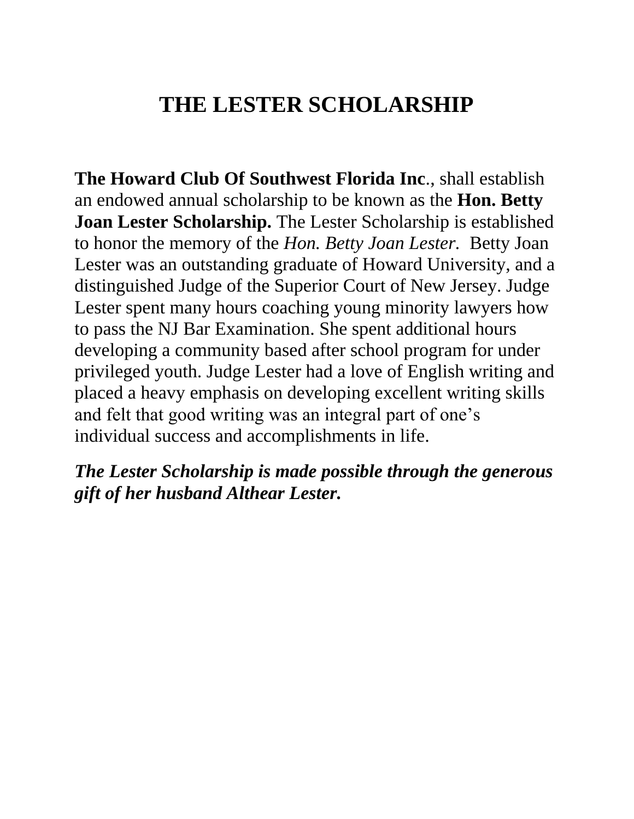## **THE LESTER SCHOLARSHIP**

**The Howard Club Of Southwest Florida Inc**., shall establish an endowed annual scholarship to be known as the **Hon. Betty Joan Lester Scholarship.** The Lester Scholarship is established to honor the memory of the *Hon. Betty Joan Lester.* Betty Joan Lester was an outstanding graduate of Howard University, and a distinguished Judge of the Superior Court of New Jersey. Judge Lester spent many hours coaching young minority lawyers how to pass the NJ Bar Examination. She spent additional hours developing a community based after school program for under privileged youth. Judge Lester had a love of English writing and placed a heavy emphasis on developing excellent writing skills and felt that good writing was an integral part of one's individual success and accomplishments in life.

*The Lester Scholarship is made possible through the generous gift of her husband Althear Lester.*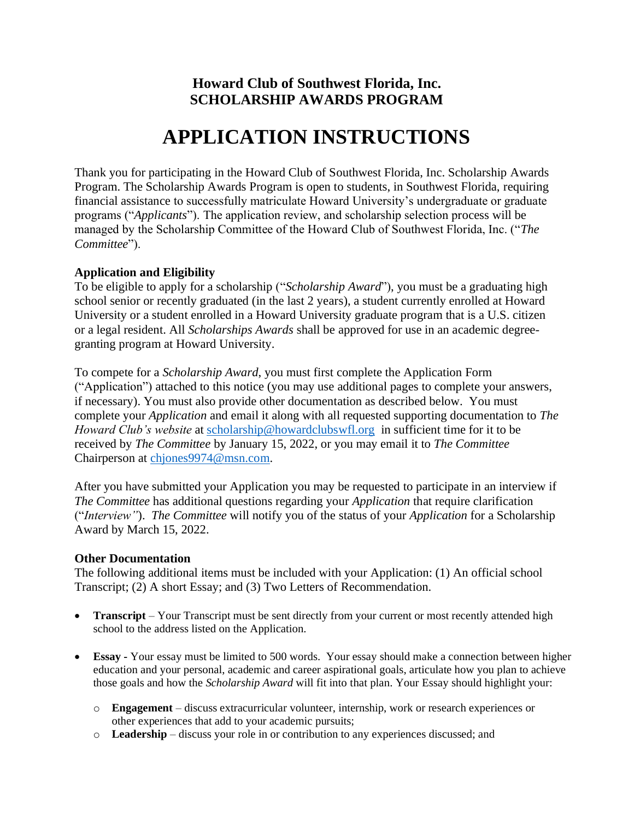### **Howard Club of Southwest Florida, Inc. SCHOLARSHIP AWARDS PROGRAM**

## **APPLICATION INSTRUCTIONS**

Thank you for participating in the Howard Club of Southwest Florida, Inc. Scholarship Awards Program. The Scholarship Awards Program is open to students, in Southwest Florida, requiring financial assistance to successfully matriculate Howard University's undergraduate or graduate programs ("*Applicants*"). The application review, and scholarship selection process will be managed by the Scholarship Committee of the Howard Club of Southwest Florida, Inc. ("*The Committee*").

#### **Application and Eligibility**

To be eligible to apply for a scholarship ("*Scholarship Award*"), you must be a graduating high school senior or recently graduated (in the last 2 years), a student currently enrolled at Howard University or a student enrolled in a Howard University graduate program that is a U.S. citizen or a legal resident. All *Scholarships Awards* shall be approved for use in an academic degreegranting program at Howard University.

To compete for a *Scholarship Award*, you must first complete the Application Form ("Application") attached to this notice (you may use additional pages to complete your answers, if necessary). You must also provide other documentation as described below. You must complete your *Application* and email it along with all requested supporting documentation to *The Howard Club's website* at [scholarship@howardclubswfl.org](mailto:scholarship@howardclubswfl.org) in sufficient time for it to be received by *The Committee* by January 15, 2022, or you may email it to *The Committee* Chairperson at [chjones9974@msn.com.](mailto:chjones9974@msn.com)

After you have submitted your Application you may be requested to participate in an interview if *The Committee* has additional questions regarding your *Application* that require clarification ("*Interview"*). *The Committee* will notify you of the status of your *Application* for a Scholarship Award by March 15, 2022.

#### **Other Documentation**

The following additional items must be included with your Application: (1) An official school Transcript; (2) A short Essay; and (3) Two Letters of Recommendation.

- **Transcript** Your Transcript must be sent directly from your current or most recently attended high school to the address listed on the Application.
- **Essay** Your essay must be limited to 500 words. Your essay should make a connection between higher education and your personal, academic and career aspirational goals, articulate how you plan to achieve those goals and how the *Scholarship Award* will fit into that plan. Your Essay should highlight your:
	- o **Engagement**  discuss extracurricular volunteer, internship, work or research experiences or other experiences that add to your academic pursuits;
	- o **Leadership** discuss your role in or contribution to any experiences discussed; and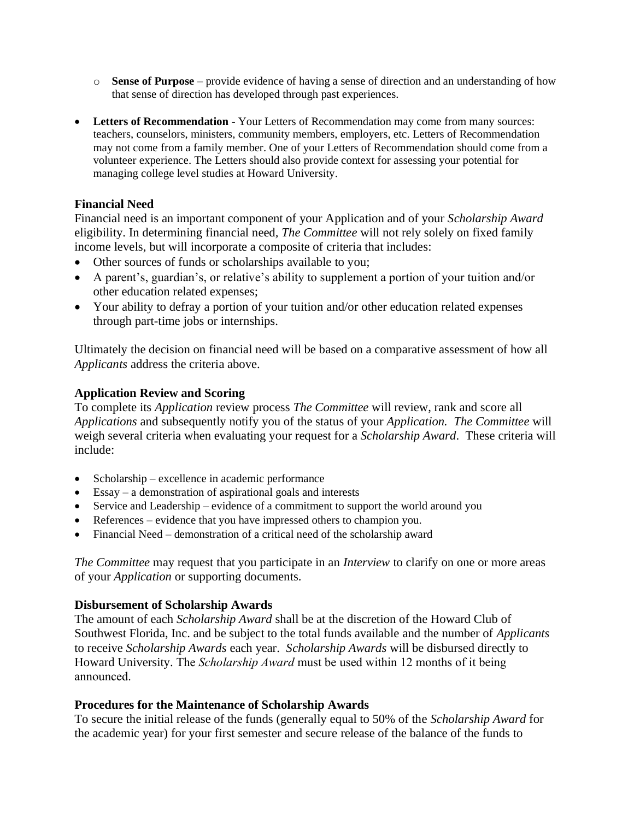- o **Sense of Purpose** provide evidence of having a sense of direction and an understanding of how that sense of direction has developed through past experiences.
- **Letters of Recommendation** Your Letters of Recommendation may come from many sources: teachers, counselors, ministers, community members, employers, etc. Letters of Recommendation may not come from a family member. One of your Letters of Recommendation should come from a volunteer experience. The Letters should also provide context for assessing your potential for managing college level studies at Howard University.

#### **Financial Need**

Financial need is an important component of your Application and of your *Scholarship Award* eligibility. In determining financial need*, The Committee* will not rely solely on fixed family income levels, but will incorporate a composite of criteria that includes:

- Other sources of funds or scholarships available to you;
- A parent's, guardian's, or relative's ability to supplement a portion of your tuition and/or other education related expenses;
- Your ability to defray a portion of your tuition and/or other education related expenses through part-time jobs or internships.

Ultimately the decision on financial need will be based on a comparative assessment of how all *Applicants* address the criteria above.

#### **Application Review and Scoring**

To complete its *Application* review process *The Committee* will review, rank and score all *Applications* and subsequently notify you of the status of your *Application. The Committee* will weigh several criteria when evaluating your request for a *Scholarship Award*. These criteria will include:

- Scholarship excellence in academic performance
- Essay a demonstration of aspirational goals and interests
- Service and Leadership evidence of a commitment to support the world around you
- References evidence that you have impressed others to champion you.
- Financial Need demonstration of a critical need of the scholarship award

*The Committee* may request that you participate in an *Interview* to clarify on one or more areas of your *Application* or supporting documents.

#### **Disbursement of Scholarship Awards**

The amount of each *Scholarship Award* shall be at the discretion of the Howard Club of Southwest Florida, Inc. and be subject to the total funds available and the number of *Applicants* to receive *Scholarship Awards* each year. *Scholarship Awards* will be disbursed directly to Howard University. The *Scholarship Award* must be used within 12 months of it being announced.

#### **Procedures for the Maintenance of Scholarship Awards**

To secure the initial release of the funds (generally equal to 50% of the *Scholarship Award* for the academic year) for your first semester and secure release of the balance of the funds to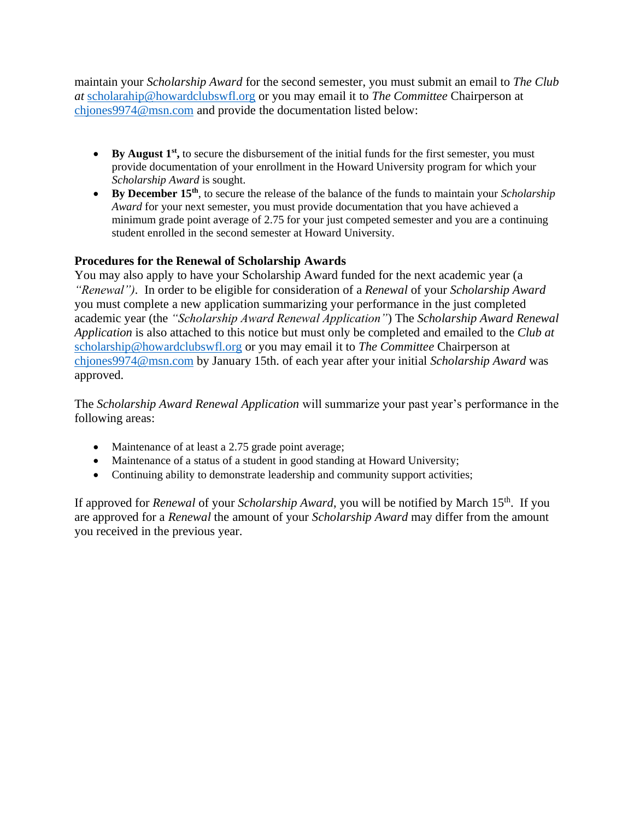maintain your *Scholarship Award* for the second semester, you must submit an email to *The Club at* [scholarahip@howardclubswfl.org](mailto:scholarahip@howardclubswfl.org) or you may email it to *The Committee* Chairperson at [chjones9974@msn.com](mailto:chjones9974@msn.com) and provide the documentation listed below:

- By August 1<sup>st</sup>, to secure the disbursement of the initial funds for the first semester, you must provide documentation of your enrollment in the Howard University program for which your *Scholarship Award* is sought.
- **By December 15th**, to secure the release of the balance of the funds to maintain your *Scholarship Award* for your next semester, you must provide documentation that you have achieved a minimum grade point average of 2.75 for your just competed semester and you are a continuing student enrolled in the second semester at Howard University.

#### **Procedures for the Renewal of Scholarship Awards**

You may also apply to have your Scholarship Award funded for the next academic year (a *"Renewal").* In order to be eligible for consideration of a *Renewal* of your *Scholarship Award* you must complete a new application summarizing your performance in the just completed academic year (the *"Scholarship Award Renewal Application"*) The *Scholarship Award Renewal Application* is also attached to this notice but must only be completed and emailed to the *Club at*  scholarship*@*[howardclubswfl.org](mailto:scholarship@howardclubswfl.org) or you may email it to *The Committee* Chairperson at [chjones9974@msn.com](mailto:chjones9974@msn.com) by January 15th. of each year after your initial *Scholarship Award* was approved.

The *Scholarship Award Renewal Application* will summarize your past year's performance in the following areas:

- Maintenance of at least a 2.75 grade point average;
- Maintenance of a status of a student in good standing at Howard University;
- Continuing ability to demonstrate leadership and community support activities;

If approved for *Renewal* of your *Scholarship Award*, you will be notified by March 15th . If you are approved for a *Renewal* the amount of your *Scholarship Award* may differ from the amount you received in the previous year.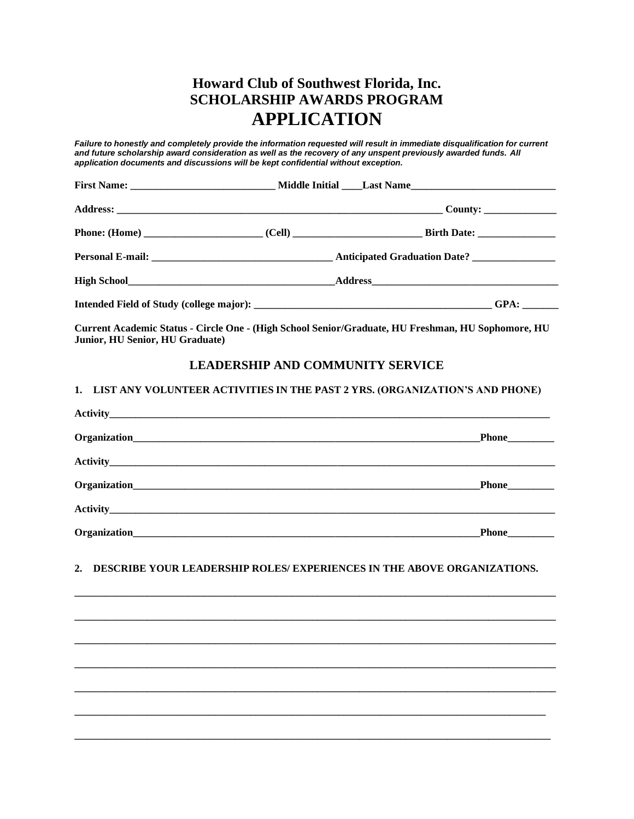### **Howard Club of Southwest Florida, Inc. SCHOLARSHIP AWARDS PROGRAM APPLICATION**

*Failure to honestly and completely provide the information requested will result in immediate disqualification for current and future scholarship award consideration as well as the recovery of any unspent previously awarded funds. All application documents and discussions will be kept confidential without exception.*

|  | $\overline{\text{GPA}:$ |
|--|-------------------------|

**Current Academic Status - Circle One - (High School Senior/Graduate, HU Freshman, HU Sophomore, HU Junior, HU Senior, HU Graduate)** 

#### **LEADERSHIP AND COMMUNITY SERVICE**

#### **1. LIST ANY VOLUNTEER ACTIVITIES IN THE PAST 2 YRS. (ORGANIZATION'S AND PHONE)**

| Phone |
|-------|

#### **2. DESCRIBE YOUR LEADERSHIP ROLES/ EXPERIENCES IN THE ABOVE ORGANIZATIONS.**

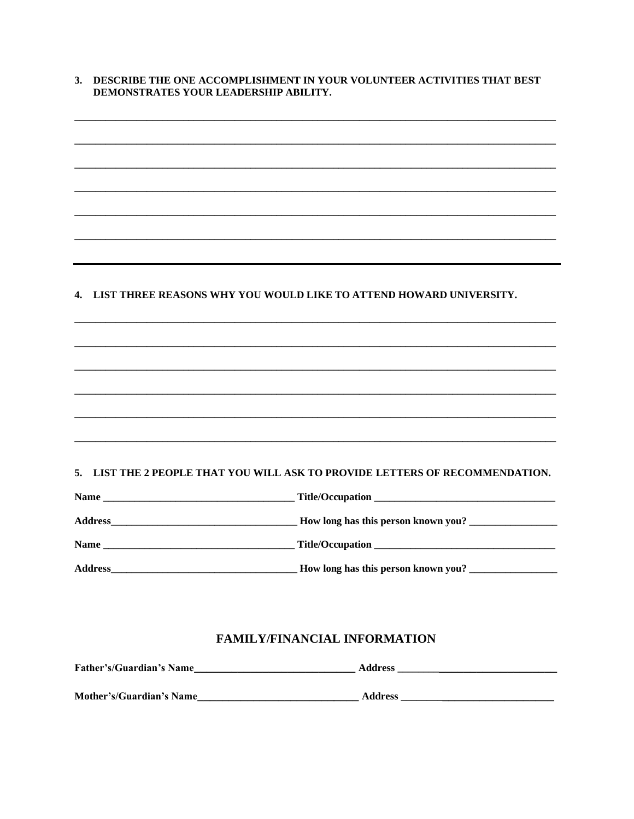| 3. DESCRIBE THE ONE ACCOMPLISHMENT IN YOUR VOLUNTEER ACTIVITIES THAT BEST |
|---------------------------------------------------------------------------|
| DEMONSTRATES YOUR LEADERSHIP ABILITY.                                     |

#### 4. LIST THREE REASONS WHY YOU WOULD LIKE TO ATTEND HOWARD UNIVERSITY.

#### 5. LIST THE 2 PEOPLE THAT YOU WILL ASK TO PROVIDE LETTERS OF RECOMMENDATION.

| <b>Name</b>    | Title/Occupation                    |  |
|----------------|-------------------------------------|--|
| <b>Address</b> | How long has this person known you? |  |
| <b>Name</b>    |                                     |  |
| <b>Address</b> | How long has this person known you? |  |

#### **FAMILY/FINANCIAL INFORMATION**

| <b>Father's/Guardian's Name</b> | <b>Address</b> |
|---------------------------------|----------------|
|                                 |                |
| <b>Mother's/Guardian's Name</b> | <b>Address</b> |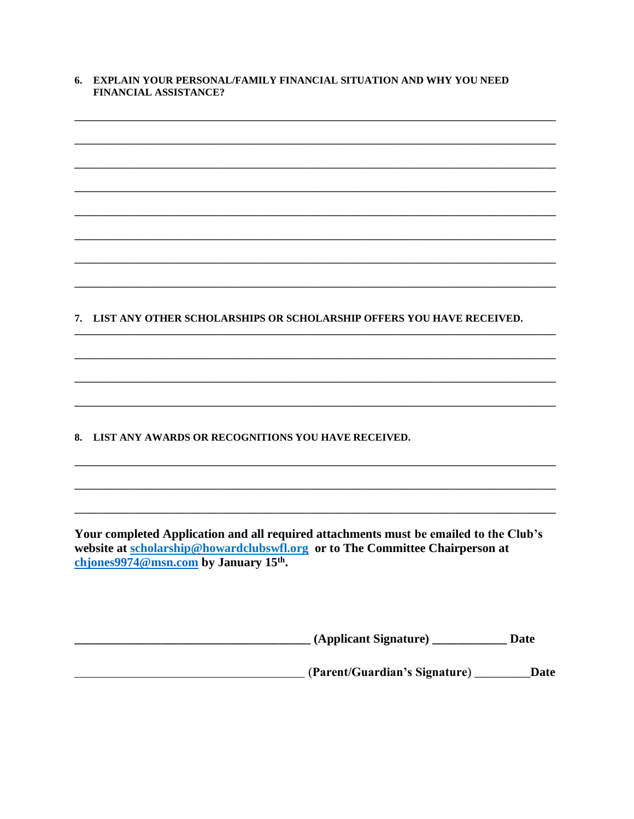#### 6. EXPLAIN YOUR PERSONAL/FAMILY FINANCIAL SITUATION AND WHY YOU NEED **FINANCIAL ASSISTANCE?**

| 7. LIST ANY OTHER SCHOLARSHIPS OR SCHOLARSHIP OFFERS YOU HAVE RECEIVED.                                                                                                                                                    |
|----------------------------------------------------------------------------------------------------------------------------------------------------------------------------------------------------------------------------|
|                                                                                                                                                                                                                            |
|                                                                                                                                                                                                                            |
|                                                                                                                                                                                                                            |
|                                                                                                                                                                                                                            |
|                                                                                                                                                                                                                            |
| LIST ANY AWARDS OR RECOGNITIONS YOU HAVE RECEIVED.<br>8.                                                                                                                                                                   |
|                                                                                                                                                                                                                            |
|                                                                                                                                                                                                                            |
|                                                                                                                                                                                                                            |
|                                                                                                                                                                                                                            |
| Your completed Application and all required attachments must be emailed to the Club's<br>website at scholarship@howardclubswfl.org or to The Committee Chairperson at<br>chjones9974@msn.com by January 15 <sup>th</sup> . |
|                                                                                                                                                                                                                            |
|                                                                                                                                                                                                                            |
|                                                                                                                                                                                                                            |

**Maria (Parent/Guardian's Signature)** \_\_\_\_\_\_\_\_\_\_\_\_Date